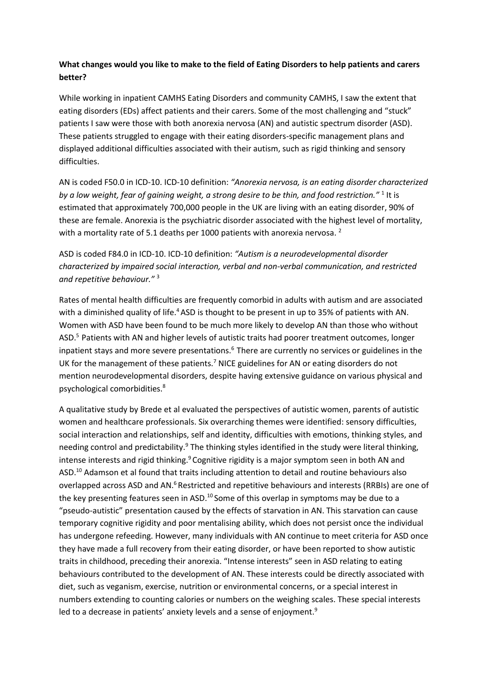## **What changes would you like to make to the field of Eating Disorders to help patients and carers better?**

While working in inpatient CAMHS Eating Disorders and community CAMHS, I saw the extent that eating disorders (EDs) affect patients and their carers. Some of the most challenging and "stuck" patients I saw were those with both anorexia nervosa (AN) and autistic spectrum disorder (ASD). These patients struggled to engage with their eating disorders-specific management plans and displayed additional difficulties associated with their autism, such as rigid thinking and sensory difficulties.

AN is coded F50.0 in ICD-10. ICD-10 definition: *"Anorexia nervosa, is an eating disorder characterized*  by a low weight, fear of gaining weight, a strong desire to be thin, and food restriction."<sup>1</sup> It is estimated that approximately 700,000 people in the UK are living with an eating disorder, 90% of these are female. Anorexia is the psychiatric disorder associated with the highest level of mortality, with a mortality rate of 5.1 deaths per 1000 patients with anorexia nervosa. <sup>2</sup>

ASD is coded F84.0 in ICD-10. ICD-10 definition: *"Autism is a neurodevelopmental disorder characterized by impaired social interaction, verbal and non-verbal communication, and restricted and repetitive behaviour."* <sup>3</sup>

Rates of mental health difficulties are frequently comorbid in adults with autism and are associated with a diminished quality of life.<sup>4</sup> ASD is thought to be present in up to 35% of patients with AN. Women with ASD have been found to be much more likely to develop AN than those who without ASD.<sup>5</sup> Patients with AN and higher levels of autistic traits had poorer treatment outcomes, longer inpatient stays and more severe presentations.<sup>6</sup> There are currently no services or guidelines in the UK for the management of these patients.<sup>7</sup> NICE guidelines for AN or eating disorders do not mention neurodevelopmental disorders, despite having extensive guidance on various physical and psychological comorbidities.<sup>8</sup>

A qualitative study by Brede et al evaluated the perspectives of autistic women, parents of autistic women and healthcare professionals. Six overarching themes were identified: sensory difficulties, social interaction and relationships, self and identity, difficulties with emotions, thinking styles, and needing control and predictability.<sup>9</sup> The thinking styles identified in the study were literal thinking, intense interests and rigid thinking.<sup>9</sup> Cognitive rigidity is a major symptom seen in both AN and ASD.<sup>10</sup> Adamson et al found that traits including attention to detail and routine behaviours also overlapped across ASD and AN.<sup>6</sup> Restricted and repetitive behaviours and interests (RRBIs) are one of the key presenting features seen in ASD.<sup>10</sup> Some of this overlap in symptoms may be due to a "pseudo-autistic" presentation caused by the effects of starvation in AN. This starvation can cause temporary cognitive rigidity and poor mentalising ability, which does not persist once the individual has undergone refeeding. However, many individuals with AN continue to meet criteria for ASD once they have made a full recovery from their eating disorder, or have been reported to show autistic traits in childhood, preceding their anorexia. "Intense interests" seen in ASD relating to eating behaviours contributed to the development of AN. These interests could be directly associated with diet, such as veganism, exercise, nutrition or environmental concerns, or a special interest in numbers extending to counting calories or numbers on the weighing scales. These special interests led to a decrease in patients' anxiety levels and a sense of enjoyment.<sup>9</sup>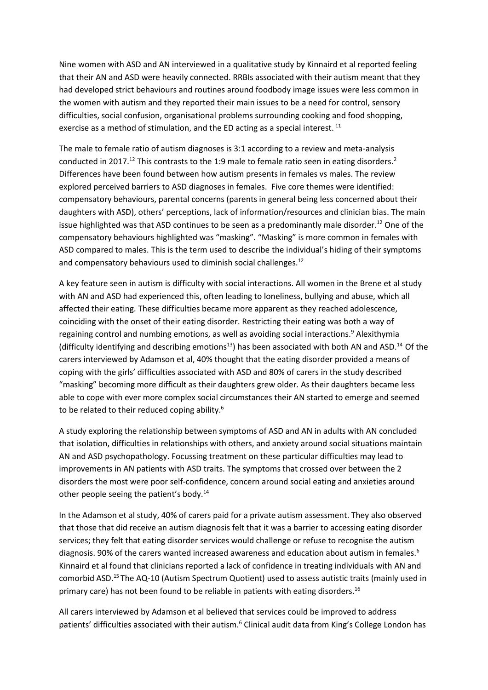Nine women with ASD and AN interviewed in a qualitative study by Kinnaird et al reported feeling that their AN and ASD were heavily connected. RRBIs associated with their autism meant that they had developed strict behaviours and routines around foodbody image issues were less common in the women with autism and they reported their main issues to be a need for control, sensory difficulties, social confusion, organisational problems surrounding cooking and food shopping, exercise as a method of stimulation, and the ED acting as a special interest.  $^{11}$ 

The male to female ratio of autism diagnoses is 3:1 according to a review and meta-analysis conducted in 2017.<sup>12</sup> This contrasts to the 1:9 male to female ratio seen in eating disorders.<sup>2</sup> Differences have been found between how autism presents in females vs males. The review explored perceived barriers to ASD diagnoses in females. Five core themes were identified: compensatory behaviours, parental concerns (parents in general being less concerned about their daughters with ASD), others' perceptions, lack of information/resources and clinician bias. The main issue highlighted was that ASD continues to be seen as a predominantly male disorder.<sup>12</sup> One of the compensatory behaviours highlighted was "masking". "Masking" is more common in females with ASD compared to males. This is the term used to describe the individual's hiding of their symptoms and compensatory behaviours used to diminish social challenges.<sup>12</sup>

A key feature seen in autism is difficulty with social interactions. All women in the Brene et al study with AN and ASD had experienced this, often leading to loneliness, bullying and abuse, which all affected their eating. These difficulties became more apparent as they reached adolescence, coinciding with the onset of their eating disorder. Restricting their eating was both a way of regaining control and numbing emotions, as well as avoiding social interactions.<sup>9</sup> Alexithymia (difficulty identifying and describing emotions<sup>13</sup>) has been associated with both AN and ASD.<sup>14</sup> Of the carers interviewed by Adamson et al, 40% thought that the eating disorder provided a means of coping with the girls' difficulties associated with ASD and 80% of carers in the study described "masking" becoming more difficult as their daughters grew older. As their daughters became less able to cope with ever more complex social circumstances their AN started to emerge and seemed to be related to their reduced coping ability.<sup>6</sup>

A study exploring the relationship between symptoms of ASD and AN in adults with AN concluded that isolation, difficulties in relationships with others, and anxiety around social situations maintain AN and ASD psychopathology. Focussing treatment on these particular difficulties may lead to improvements in AN patients with ASD traits. The symptoms that crossed over between the 2 disorders the most were poor self-confidence, concern around social eating and anxieties around other people seeing the patient's body.<sup>14</sup>

In the Adamson et al study, 40% of carers paid for a private autism assessment. They also observed that those that did receive an autism diagnosis felt that it was a barrier to accessing eating disorder services; they felt that eating disorder services would challenge or refuse to recognise the autism diagnosis. 90% of the carers wanted increased awareness and education about autism in females.<sup>6</sup> Kinnaird et al found that clinicians reported a lack of confidence in treating individuals with AN and comorbid ASD.<sup>15</sup> The AQ-10 (Autism Spectrum Quotient) used to assess autistic traits (mainly used in primary care) has not been found to be reliable in patients with eating disorders.<sup>16</sup>

All carers interviewed by Adamson et al believed that services could be improved to address patients' difficulties associated with their autism.<sup>6</sup> Clinical audit data from King's College London has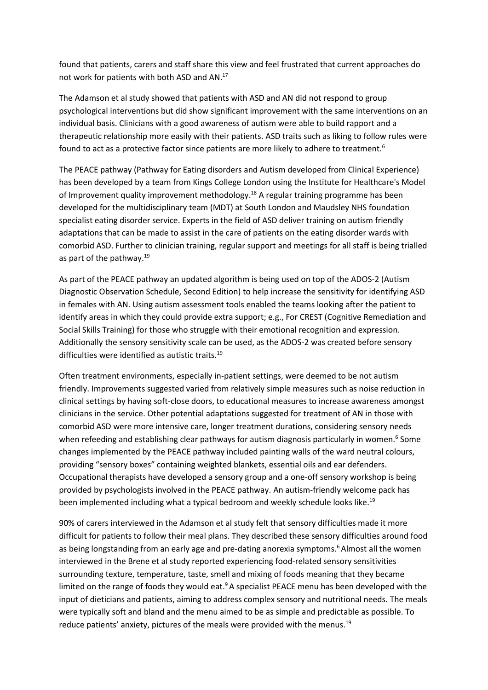found that patients, carers and staff share this view and feel frustrated that current approaches do not work for patients with both ASD and AN.<sup>17</sup>

The Adamson et al study showed that patients with ASD and AN did not respond to group psychological interventions but did show significant improvement with the same interventions on an individual basis. Clinicians with a good awareness of autism were able to build rapport and a therapeutic relationship more easily with their patients. ASD traits such as liking to follow rules were found to act as a protective factor since patients are more likely to adhere to treatment.<sup>6</sup>

The PEACE pathway (Pathway for Eating disorders and Autism developed from Clinical Experience) has been developed by a team from Kings College London using the Institute for Healthcare's Model of Improvement quality improvement methodology.<sup>18</sup> A regular training programme has been developed for the multidisciplinary team (MDT) at South London and Maudsley NHS foundation specialist eating disorder service. Experts in the field of ASD deliver training on autism friendly adaptations that can be made to assist in the care of patients on the eating disorder wards with comorbid ASD. Further to clinician training, regular support and meetings for all staff is being trialled as part of the pathway.<sup>19</sup>

As part of the PEACE pathway an updated algorithm is being used on top of the ADOS-2 (Autism Diagnostic Observation Schedule, Second Edition) to help increase the sensitivity for identifying ASD in females with AN. Using autism assessment tools enabled the teams looking after the patient to identify areas in which they could provide extra support; e.g., For CREST (Cognitive Remediation and Social Skills Training) for those who struggle with their emotional recognition and expression. Additionally the sensory sensitivity scale can be used, as the ADOS-2 was created before sensory difficulties were identified as autistic traits.<sup>19</sup>

Often treatment environments, especially in-patient settings, were deemed to be not autism friendly. Improvements suggested varied from relatively simple measures such as noise reduction in clinical settings by having soft-close doors, to educational measures to increase awareness amongst clinicians in the service. Other potential adaptations suggested for treatment of AN in those with comorbid ASD were more intensive care, longer treatment durations, considering sensory needs when refeeding and establishing clear pathways for autism diagnosis particularly in women.<sup>6</sup> Some changes implemented by the PEACE pathway included painting walls of the ward neutral colours, providing "sensory boxes" containing weighted blankets, essential oils and ear defenders. Occupational therapists have developed a sensory group and a one-off sensory workshop is being provided by psychologists involved in the PEACE pathway. An autism-friendly welcome pack has been implemented including what a typical bedroom and weekly schedule looks like.<sup>19</sup>

90% of carers interviewed in the Adamson et al study felt that sensory difficulties made it more difficult for patients to follow their meal plans. They described these sensory difficulties around food as being longstanding from an early age and pre-dating anorexia symptoms.<sup>6</sup> Almost all the women interviewed in the Brene et al study reported experiencing food-related sensory sensitivities surrounding texture, temperature, taste, smell and mixing of foods meaning that they became limited on the range of foods they would eat.<sup>9</sup> A specialist PEACE menu has been developed with the input of dieticians and patients, aiming to address complex sensory and nutritional needs. The meals were typically soft and bland and the menu aimed to be as simple and predictable as possible. To reduce patients' anxiety, pictures of the meals were provided with the menus.<sup>19</sup>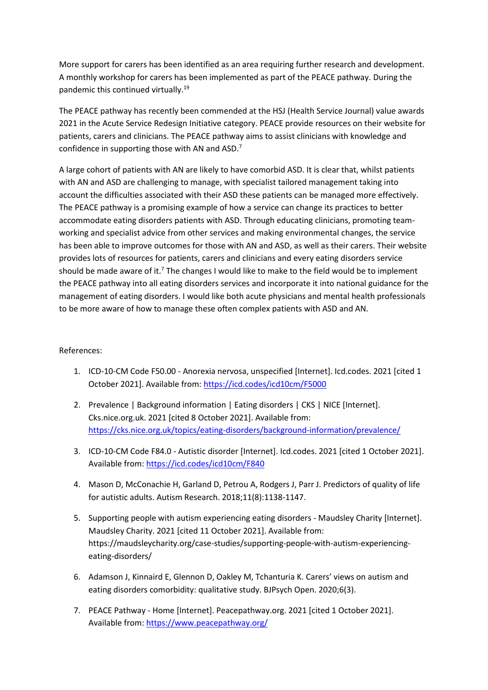More support for carers has been identified as an area requiring further research and development. A monthly workshop for carers has been implemented as part of the PEACE pathway. During the pandemic this continued virtually.<sup>19</sup>

The PEACE pathway has recently been commended at the HSJ (Health Service Journal) value awards 2021 in the Acute Service Redesign Initiative category. PEACE provide resources on their website for patients, carers and clinicians. The PEACE pathway aims to assist clinicians with knowledge and confidence in supporting those with AN and ASD.<sup>7</sup>

A large cohort of patients with AN are likely to have comorbid ASD. It is clear that, whilst patients with AN and ASD are challenging to manage, with specialist tailored management taking into account the difficulties associated with their ASD these patients can be managed more effectively. The PEACE pathway is a promising example of how a service can change its practices to better accommodate eating disorders patients with ASD. Through educating clinicians, promoting teamworking and specialist advice from other services and making environmental changes, the service has been able to improve outcomes for those with AN and ASD, as well as their carers. Their website provides lots of resources for patients, carers and clinicians and every eating disorders service should be made aware of it.<sup>7</sup> The changes I would like to make to the field would be to implement the PEACE pathway into all eating disorders services and incorporate it into national guidance for the management of eating disorders. I would like both acute physicians and mental health professionals to be more aware of how to manage these often complex patients with ASD and AN.

## References:

- 1. ICD-10-CM Code F50.00 Anorexia nervosa, unspecified [Internet]. Icd.codes. 2021 [cited 1 October 2021]. Available from:<https://icd.codes/icd10cm/F5000>
- 2. Prevalence | Background information | Eating disorders | CKS | NICE [Internet]. Cks.nice.org.uk. 2021 [cited 8 October 2021]. Available from: <https://cks.nice.org.uk/topics/eating-disorders/background-information/prevalence/>
- 3. ICD-10-CM Code F84.0 Autistic disorder [Internet]. Icd.codes. 2021 [cited 1 October 2021]. Available from[: https://icd.codes/icd10cm/F840](https://icd.codes/icd10cm/F840)
- 4. Mason D, McConachie H, Garland D, Petrou A, Rodgers J, Parr J. Predictors of quality of life for autistic adults. Autism Research. 2018;11(8):1138-1147.
- 5. Supporting people with autism experiencing eating disorders Maudsley Charity [Internet]. Maudsley Charity. 2021 [cited 11 October 2021]. Available from: https://maudsleycharity.org/case-studies/supporting-people-with-autism-experiencingeating-disorders/
- 6. Adamson J, Kinnaird E, Glennon D, Oakley M, Tchanturia K. Carers' views on autism and eating disorders comorbidity: qualitative study. BJPsych Open. 2020;6(3).
- 7. PEACE Pathway Home [Internet]. Peacepathway.org. 2021 [cited 1 October 2021]. Available from[: https://www.peacepathway.org/](https://www.peacepathway.org/)